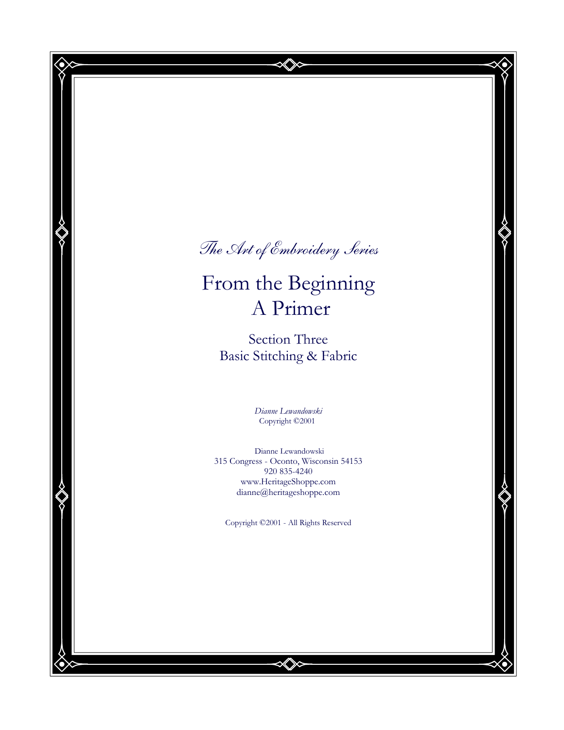

≪∕≫

# From the Beginning A Primer

Section Three Basic Stitching & Fabric

> Dianne Lewandowski Copyright ©2001

 Dianne Lewandowski 315 Congress - Oconto, Wisconsin 54153 920 835-4240 www.HeritageShoppe.com dianne@heritageshoppe.com

Copyright ©2001 - All Rights Reserved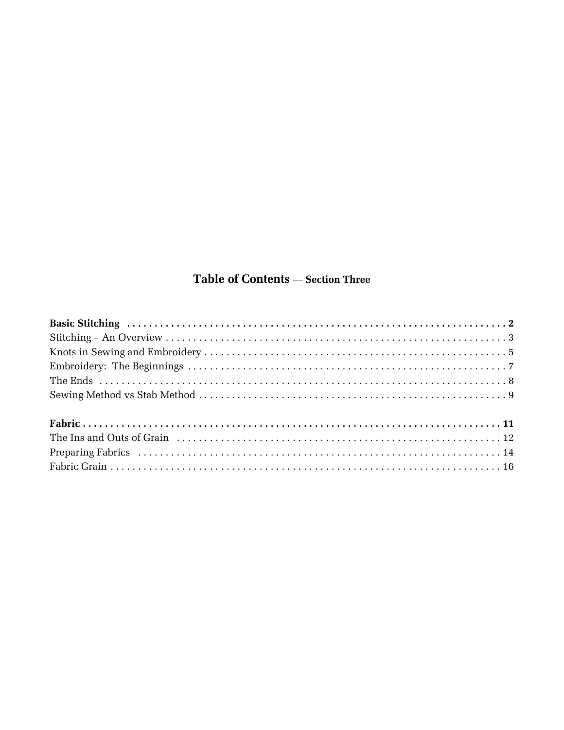# **Table of Contents - Section Three**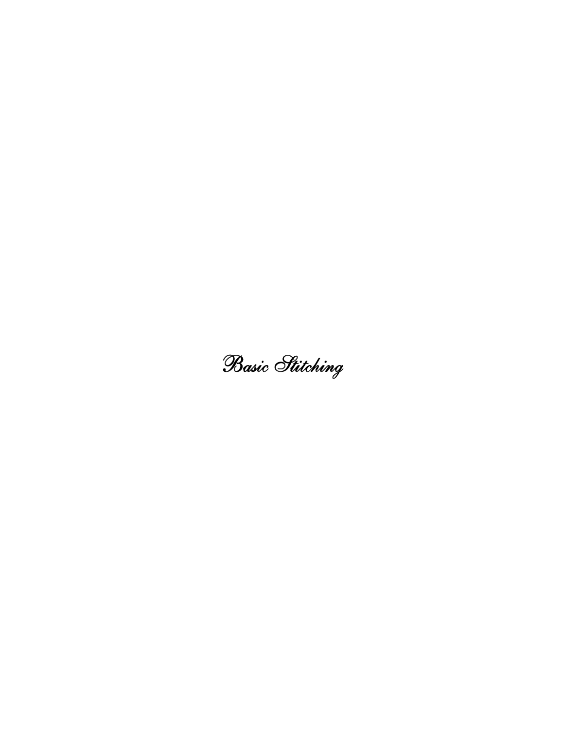Basic Stitching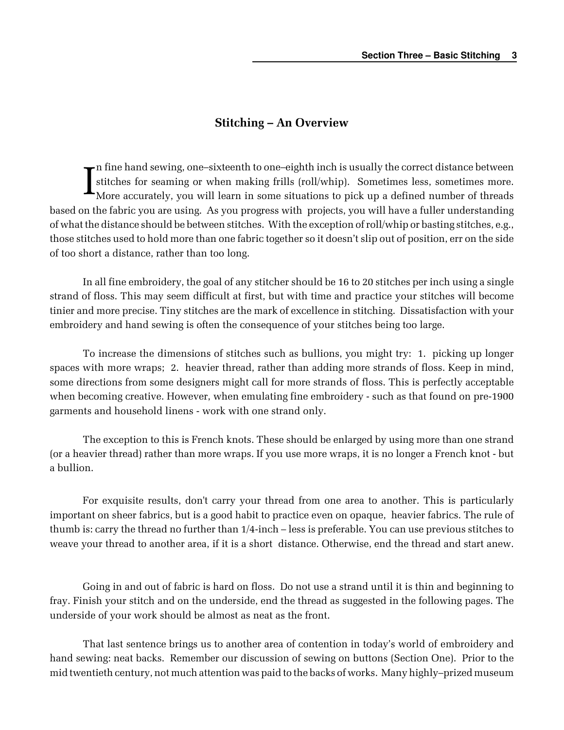## Stitching – An Overview

I  $\mathbf{r}$ n fine hand sewing, one–sixteenth to one–eighth inch is usually the correct distance between stitches for seaming or when making frills (roll/whip). Sometimes less, sometimes more. More accurately, you will learn in some situations to pick up a defined number of threads based on the fabric you are using. As you progress with projects, you will have a fuller understanding of what the distance should be between stitches. With the exception of roll/whip or basting stitches, e.g., those stitches used to hold more than one fabric together so it doesn't slip out of position, err on the side of too short a distance, rather than too long.

In all fine embroidery, the goal of any stitcher should be 16 to 20 stitches per inch using a single strand of floss. This may seem difficult at first, but with time and practice your stitches will become tinier and more precise. Tiny stitches are the mark of excellence in stitching. Dissatisfaction with your embroidery and hand sewing is often the consequence of your stitches being too large.

To increase the dimensions of stitches such as bullions, you might try: 1. picking up longer spaces with more wraps; 2. heavier thread, rather than adding more strands of floss. Keep in mind, some directions from some designers might call for more strands of floss. This is perfectly acceptable when becoming creative. However, when emulating fine embroidery - such as that found on pre-1900 garments and household linens - work with one strand only.

The exception to this is French knots. These should be enlarged by using more than one strand (or a heavier thread) rather than more wraps. If you use more wraps, it is no longer a French knot - but a bullion.

For exquisite results, don't carry your thread from one area to another. This is particularly important on sheer fabrics, but is a good habit to practice even on opaque, heavier fabrics. The rule of thumb is: carry the thread no further than 1/4-inch – less is preferable. You can use previous stitches to weave your thread to another area, if it is a short distance. Otherwise, end the thread and start anew.

Going in and out of fabric is hard on floss. Do not use a strand until it is thin and beginning to fray. Finish your stitch and on the underside, end the thread as suggested in the following pages. The underside of your work should be almost as neat as the front.

That last sentence brings us to another area of contention in today's world of embroidery and hand sewing: neat backs. Remember our discussion of sewing on buttons (Section One). Prior to the mid twentieth century, not much attention was paid to the backs of works. Many highly–prized museum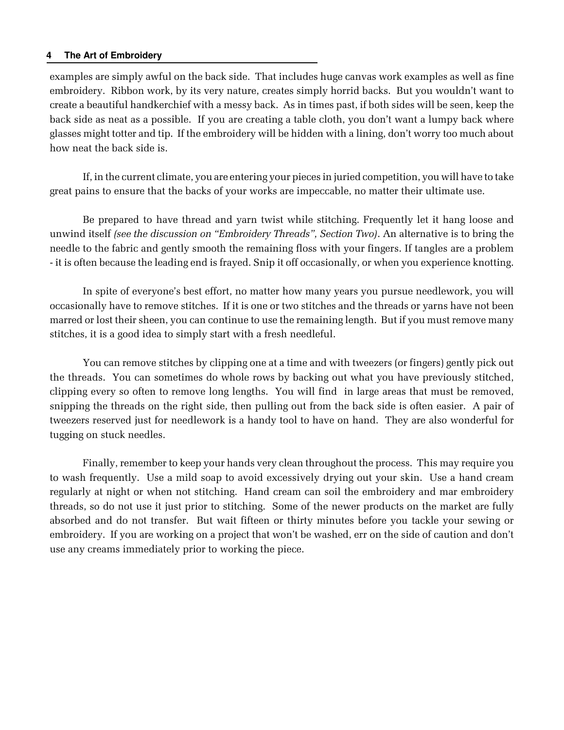#### **4 The Art of Embroidery**

examples are simply awful on the back side. That includes huge canvas work examples as well as fine embroidery. Ribbon work, by its very nature, creates simply horrid backs. But you wouldn't want to create a beautiful handkerchief with a messy back. As in times past, if both sides will be seen, keep the back side as neat as a possible. If you are creating a table cloth, you don't want a lumpy back where glasses might totter and tip. If the embroidery will be hidden with a lining, don't worry too much about how neat the back side is.

If, in the current climate, you are entering your pieces in juried competition, you will have to take great pains to ensure that the backs of your works are impeccable, no matter their ultimate use.

Be prepared to have thread and yarn twist while stitching. Frequently let it hang loose and unwind itself (see the discussion on "Embroidery Threads", Section Two). An alternative is to bring the needle to the fabric and gently smooth the remaining floss with your fingers. If tangles are a problem - it is often because the leading end is frayed. Snip it off occasionally, or when you experience knotting.

In spite of everyone's best effort, no matter how many years you pursue needlework, you will occasionally have to remove stitches. If it is one or two stitches and the threads or yarns have not been marred or lost their sheen, you can continue to use the remaining length. But if you must remove many stitches, it is a good idea to simply start with a fresh needleful.

You can remove stitches by clipping one at a time and with tweezers (or fingers) gently pick out the threads. You can sometimes do whole rows by backing out what you have previously stitched, clipping every so often to remove long lengths. You will find in large areas that must be removed, snipping the threads on the right side, then pulling out from the back side is often easier. A pair of tweezers reserved just for needlework is a handy tool to have on hand. They are also wonderful for tugging on stuck needles.

Finally, remember to keep your hands very clean throughout the process. This may require you to wash frequently. Use a mild soap to avoid excessively drying out your skin. Use a hand cream regularly at night or when not stitching. Hand cream can soil the embroidery and mar embroidery threads, so do not use it just prior to stitching. Some of the newer products on the market are fully absorbed and do not transfer. But wait fifteen or thirty minutes before you tackle your sewing or embroidery. If you are working on a project that won't be washed, err on the side of caution and don't use any creams immediately prior to working the piece.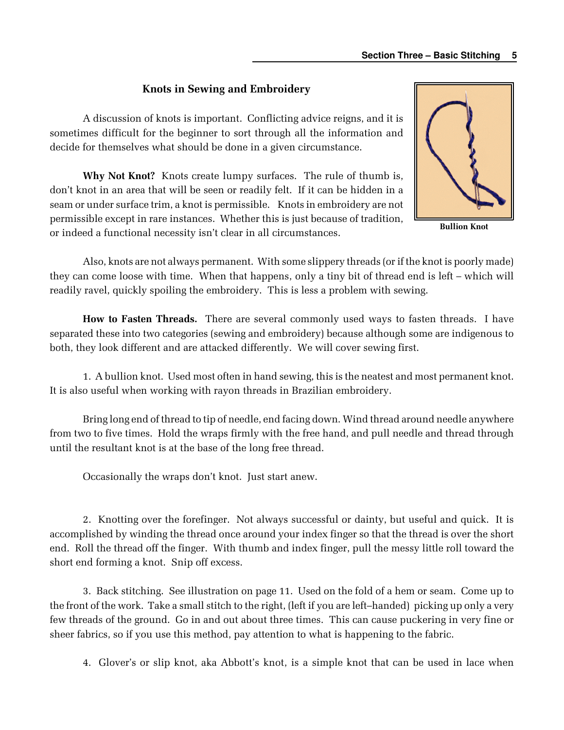## Knots in Sewing and Embroidery

A discussion of knots is important. Conflicting advice reigns, and it is sometimes difficult for the beginner to sort through all the information and decide for themselves what should be done in a given circumstance.

Why Not Knot? Knots create lumpy surfaces. The rule of thumb is, don't knot in an area that will be seen or readily felt. If it can be hidden in a seam or under surface trim, a knot is permissible. Knots in embroidery are not permissible except in rare instances. Whether this is just because of tradition, or indeed a functional necessity isn't clear in all circumstances.



Bullion Knot

Also, knots are not always permanent. With some slippery threads (or if the knot is poorly made) they can come loose with time. When that happens, only a tiny bit of thread end is left – which will readily ravel, quickly spoiling the embroidery. This is less a problem with sewing.

How to Fasten Threads. There are several commonly used ways to fasten threads. I have separated these into two categories (sewing and embroidery) because although some are indigenous to both, they look different and are attacked differently. We will cover sewing first.

1. A bullion knot. Used most often in hand sewing, this is the neatest and most permanent knot. It is also useful when working with rayon threads in Brazilian embroidery.

Bring long end of thread to tip of needle, end facing down. Wind thread around needle anywhere from two to five times. Hold the wraps firmly with the free hand, and pull needle and thread through until the resultant knot is at the base of the long free thread.

Occasionally the wraps don't knot. Just start anew.

2. Knotting over the forefinger. Not always successful or dainty, but useful and quick. It is accomplished by winding the thread once around your index finger so that the thread is over the short end. Roll the thread off the finger. With thumb and index finger, pull the messy little roll toward the short end forming a knot. Snip off excess.

3. Back stitching. See illustration on page 11. Used on the fold of a hem or seam. Come up to the front of the work. Take a small stitch to the right, (left if you are left–handed) picking up only a very few threads of the ground. Go in and out about three times. This can cause puckering in very fine or sheer fabrics, so if you use this method, pay attention to what is happening to the fabric.

4. Glover's or slip knot, aka Abbott's knot, is a simple knot that can be used in lace when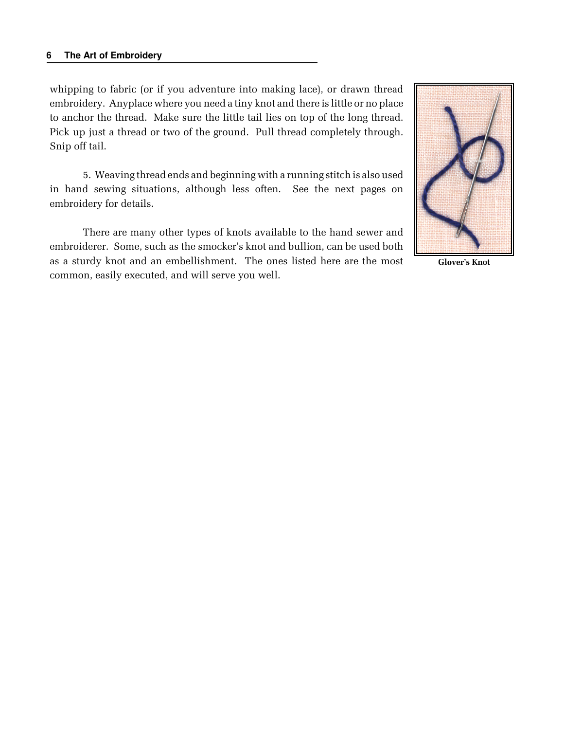whipping to fabric (or if you adventure into making lace), or drawn thread embroidery. Anyplace where you need a tiny knot and there is little or no place to anchor the thread. Make sure the little tail lies on top of the long thread. Pick up just a thread or two of the ground. Pull thread completely through. Snip off tail.

5. Weaving thread ends and beginning with a running stitch is also used in hand sewing situations, although less often. See the next pages on embroidery for details.

There are many other types of knots available to the hand sewer and embroiderer. Some, such as the smocker's knot and bullion, can be used both as a sturdy knot and an embellishment. The ones listed here are the most common, easily executed, and will serve you well.



Glover's Knot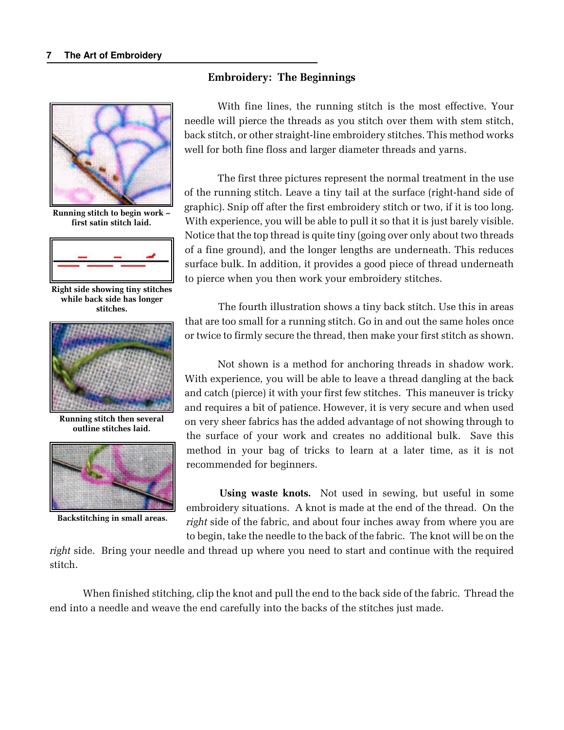

Running stitch to begin work – first satin stitch laid.



Right side showing tiny stitches while back side has longer stitches.



Running stitch then several outline stitches laid.



Backstitching in small areas.

#### Embroidery: The Beginnings

With fine lines, the running stitch is the most effective. Your needle will pierce the threads as you stitch over them with stem stitch, back stitch, or other straight-line embroidery stitches. This method works well for both fine floss and larger diameter threads and yarns.

The first three pictures represent the normal treatment in the use of the running stitch. Leave a tiny tail at the surface (right-hand side of graphic). Snip off after the first embroidery stitch or two, if it is too long. With experience, you will be able to pull it so that it is just barely visible. Notice that the top thread is quite tiny (going over only about two threads of a fine ground), and the longer lengths are underneath. This reduces surface bulk. In addition, it provides a good piece of thread underneath to pierce when you then work your embroidery stitches.

The fourth illustration shows a tiny back stitch. Use this in areas that are too small for a running stitch. Go in and out the same holes once or twice to firmly secure the thread, then make your first stitch as shown.

Not shown is a method for anchoring threads in shadow work. With experience, you will be able to leave a thread dangling at the back and catch (pierce) it with your first few stitches. This maneuver is tricky and requires a bit of patience. However, it is very secure and when used on very sheer fabrics has the added advantage of not showing through to the surface of your work and creates no additional bulk. Save this method in your bag of tricks to learn at a later time, as it is not recommended for beginners.

Using waste knots. Not used in sewing, but useful in some embroidery situations. A knot is made at the end of the thread. On the right side of the fabric, and about four inches away from where you are to begin, take the needle to the back of the fabric. The knot will be on the

right side. Bring your needle and thread up where you need to start and continue with the required stitch.

When finished stitching, clip the knot and pull the end to the back side of the fabric. Thread the end into a needle and weave the end carefully into the backs of the stitches just made.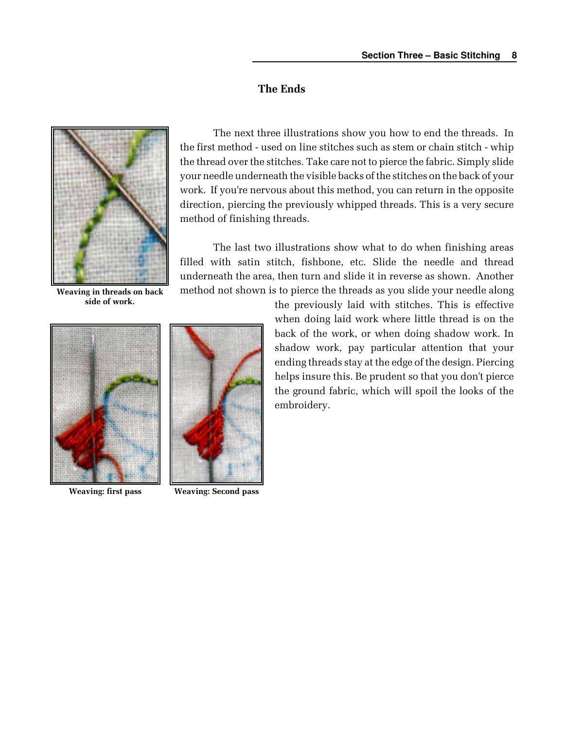#### The Ends



Weaving in threads on back side of work.





Weaving: first pass Weaving: Second pass

The next three illustrations show you how to end the threads. In the first method - used on line stitches such as stem or chain stitch - whip the thread over the stitches. Take care not to pierce the fabric. Simply slide your needle underneath the visible backs of the stitches on the back of your work. If you're nervous about this method, you can return in the opposite direction, piercing the previously whipped threads. This is a very secure method of finishing threads.

The last two illustrations show what to do when finishing areas filled with satin stitch, fishbone, etc. Slide the needle and thread underneath the area, then turn and slide it in reverse as shown. Another method not shown is to pierce the threads as you slide your needle along

> the previously laid with stitches. This is effective when doing laid work where little thread is on the back of the work, or when doing shadow work. In shadow work, pay particular attention that your ending threads stay at the edge of the design. Piercing helps insure this. Be prudent so that you don't pierce the ground fabric, which will spoil the looks of the embroidery.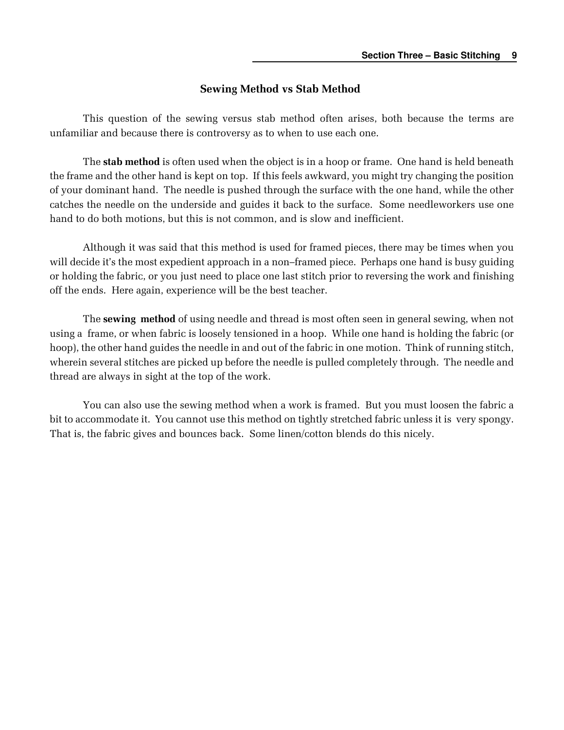#### Sewing Method vs Stab Method

This question of the sewing versus stab method often arises, both because the terms are unfamiliar and because there is controversy as to when to use each one.

The **stab method** is often used when the object is in a hoop or frame. One hand is held beneath the frame and the other hand is kept on top. If this feels awkward, you might try changing the position of your dominant hand. The needle is pushed through the surface with the one hand, while the other catches the needle on the underside and guides it back to the surface. Some needleworkers use one hand to do both motions, but this is not common, and is slow and inefficient.

Although it was said that this method is used for framed pieces, there may be times when you will decide it's the most expedient approach in a non–framed piece. Perhaps one hand is busy guiding or holding the fabric, or you just need to place one last stitch prior to reversing the work and finishing off the ends. Here again, experience will be the best teacher.

The sewing method of using needle and thread is most often seen in general sewing, when not using a frame, or when fabric is loosely tensioned in a hoop. While one hand is holding the fabric (or hoop), the other hand guides the needle in and out of the fabric in one motion. Think of running stitch, wherein several stitches are picked up before the needle is pulled completely through. The needle and thread are always in sight at the top of the work.

You can also use the sewing method when a work is framed. But you must loosen the fabric a bit to accommodate it. You cannot use this method on tightly stretched fabric unless it is very spongy. That is, the fabric gives and bounces back. Some linen/cotton blends do this nicely.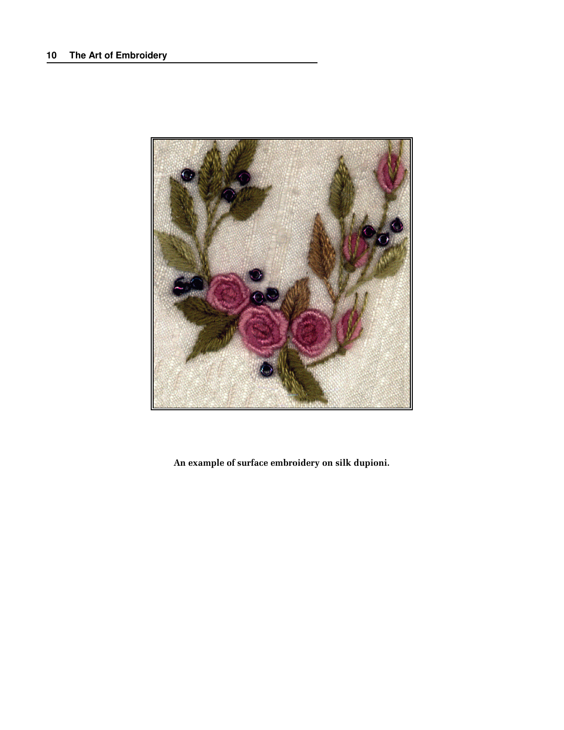

An example of surface embroidery on silk dupioni.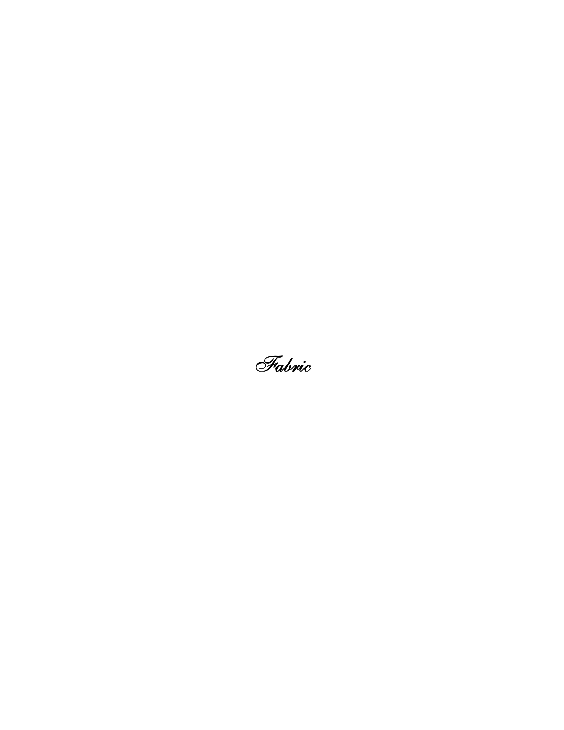Fabric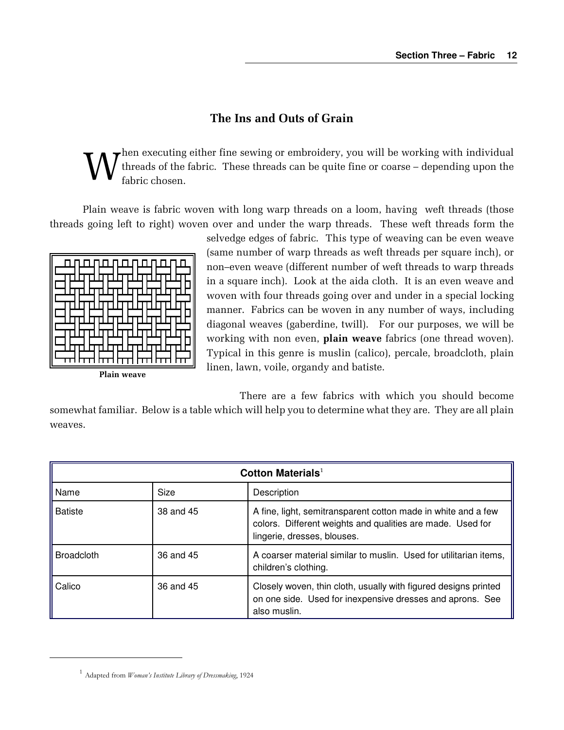## The Ins and Outs of Grain

W hen executing either fine sewing or embroidery, you will be working with individual threads of the fabric. These threads can be quite fine or coarse – depending upon the fabric chosen.

Plain weave is fabric woven with long warp threads on a loom, having weft threads (those threads going left to right) woven over and under the warp threads. These weft threads form the

|--|

Plain weave

selvedge edges of fabric. This type of weaving can be even weave (same number of warp threads as weft threads per square inch), or non–even weave (different number of weft threads to warp threads in a square inch). Look at the aida cloth. It is an even weave and woven with four threads going over and under in a special locking manner. Fabrics can be woven in any number of ways, including diagonal weaves (gaberdine, twill). For our purposes, we will be working with non even, **plain weave** fabrics (one thread woven). Typical in this genre is muslin (calico), percale, broadcloth, plain linen, lawn, voile, organdy and batiste.

There are a few fabrics with which you should become

somewhat familiar. Below is a table which will help you to determine what they are. They are all plain weaves.

| Cotton Materials $1$ |           |                                                                                                                                                            |  |
|----------------------|-----------|------------------------------------------------------------------------------------------------------------------------------------------------------------|--|
| Name                 | Size      | Description                                                                                                                                                |  |
| <b>Batiste</b>       | 38 and 45 | A fine, light, semitransparent cotton made in white and a few<br>colors. Different weights and qualities are made. Used for<br>lingerie, dresses, blouses. |  |
| <b>Broadcloth</b>    | 36 and 45 | A coarser material similar to muslin. Used for utilitarian items,<br>children's clothing.                                                                  |  |
| Calico               | 36 and 45 | Closely woven, thin cloth, usually with figured designs printed<br>on one side. Used for inexpensive dresses and aprons. See<br>also muslin.               |  |

 $1$  Adapted from *Woman's Institute Library of Dressmaking*, 1924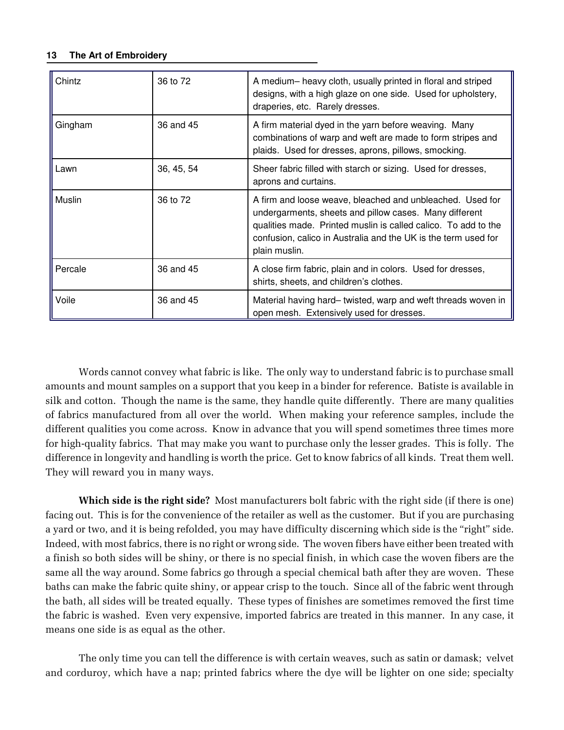| Chintz  | 36 to 72   | A medium-heavy cloth, usually printed in floral and striped<br>designs, with a high glaze on one side. Used for upholstery,<br>draperies, etc. Rarely dresses.                                                                                                           |
|---------|------------|--------------------------------------------------------------------------------------------------------------------------------------------------------------------------------------------------------------------------------------------------------------------------|
| Gingham | 36 and 45  | A firm material dyed in the yarn before weaving. Many<br>combinations of warp and weft are made to form stripes and<br>plaids. Used for dresses, aprons, pillows, smocking.                                                                                              |
| Lawn    | 36, 45, 54 | Sheer fabric filled with starch or sizing. Used for dresses,<br>aprons and curtains.                                                                                                                                                                                     |
| Muslin  | 36 to 72   | A firm and loose weave, bleached and unbleached. Used for<br>undergarments, sheets and pillow cases. Many different<br>qualities made. Printed muslin is called calico. To add to the<br>confusion, calico in Australia and the UK is the term used for<br>plain muslin. |
| Percale | 36 and 45  | A close firm fabric, plain and in colors. Used for dresses,<br>shirts, sheets, and children's clothes.                                                                                                                                                                   |
| Voile   | 36 and 45  | Material having hard-twisted, warp and weft threads woven in<br>open mesh. Extensively used for dresses.                                                                                                                                                                 |

Words cannot convey what fabric is like. The only way to understand fabric is to purchase small amounts and mount samples on a support that you keep in a binder for reference. Batiste is available in silk and cotton. Though the name is the same, they handle quite differently. There are many qualities of fabrics manufactured from all over the world. When making your reference samples, include the different qualities you come across. Know in advance that you will spend sometimes three times more for high-quality fabrics. That may make you want to purchase only the lesser grades. This is folly. The difference in longevity and handling is worth the price. Get to know fabrics of all kinds. Treat them well. They will reward you in many ways.

Which side is the right side? Most manufacturers bolt fabric with the right side (if there is one) facing out. This is for the convenience of the retailer as well as the customer. But if you are purchasing a yard or two, and it is being refolded, you may have difficulty discerning which side is the "right" side. Indeed, with most fabrics, there is no right or wrong side. The woven fibers have either been treated with a finish so both sides will be shiny, or there is no special finish, in which case the woven fibers are the same all the way around. Some fabrics go through a special chemical bath after they are woven. These baths can make the fabric quite shiny, or appear crisp to the touch. Since all of the fabric went through the bath, all sides will be treated equally. These types of finishes are sometimes removed the first time the fabric is washed. Even very expensive, imported fabrics are treated in this manner. In any case, it means one side is as equal as the other.

The only time you can tell the difference is with certain weaves, such as satin or damask; velvet and corduroy, which have a nap; printed fabrics where the dye will be lighter on one side; specialty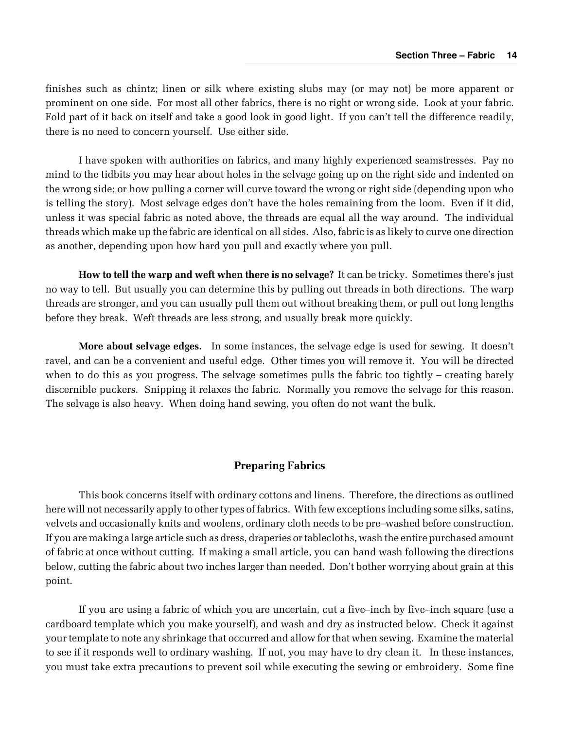finishes such as chintz; linen or silk where existing slubs may (or may not) be more apparent or prominent on one side. For most all other fabrics, there is no right or wrong side. Look at your fabric. Fold part of it back on itself and take a good look in good light. If you can't tell the difference readily, there is no need to concern yourself. Use either side.

I have spoken with authorities on fabrics, and many highly experienced seamstresses. Pay no mind to the tidbits you may hear about holes in the selvage going up on the right side and indented on the wrong side; or how pulling a corner will curve toward the wrong or right side (depending upon who is telling the story). Most selvage edges don't have the holes remaining from the loom. Even if it did, unless it was special fabric as noted above, the threads are equal all the way around. The individual threads which make up the fabric are identical on all sides. Also, fabric is as likely to curve one direction as another, depending upon how hard you pull and exactly where you pull.

How to tell the warp and weft when there is no selvage? It can be tricky. Sometimes there's just no way to tell. But usually you can determine this by pulling out threads in both directions. The warp threads are stronger, and you can usually pull them out without breaking them, or pull out long lengths before they break. Weft threads are less strong, and usually break more quickly.

More about selvage edges. In some instances, the selvage edge is used for sewing. It doesn't ravel, and can be a convenient and useful edge. Other times you will remove it. You will be directed when to do this as you progress. The selvage sometimes pulls the fabric too tightly – creating barely discernible puckers. Snipping it relaxes the fabric. Normally you remove the selvage for this reason. The selvage is also heavy. When doing hand sewing, you often do not want the bulk.

#### Preparing Fabrics

This book concerns itself with ordinary cottons and linens. Therefore, the directions as outlined here will not necessarily apply to other types of fabrics. With few exceptions including some silks, satins, velvets and occasionally knits and woolens, ordinary cloth needs to be pre–washed before construction. If you are making a large article such as dress, draperies or tablecloths, wash the entire purchased amount of fabric at once without cutting. If making a small article, you can hand wash following the directions below, cutting the fabric about two inches larger than needed. Don't bother worrying about grain at this point.

If you are using a fabric of which you are uncertain, cut a five–inch by five–inch square (use a cardboard template which you make yourself), and wash and dry as instructed below. Check it against your template to note any shrinkage that occurred and allow for that when sewing. Examine the material to see if it responds well to ordinary washing. If not, you may have to dry clean it. In these instances, you must take extra precautions to prevent soil while executing the sewing or embroidery. Some fine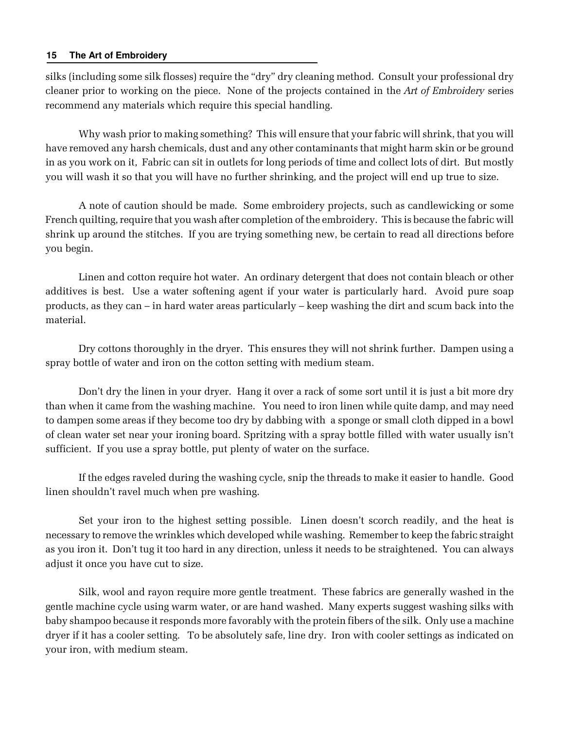#### **15 The Art of Embroidery**

silks (including some silk flosses) require the "dry" dry cleaning method. Consult your professional dry cleaner prior to working on the piece. None of the projects contained in the Art of Embroidery series recommend any materials which require this special handling.

Why wash prior to making something? This will ensure that your fabric will shrink, that you will have removed any harsh chemicals, dust and any other contaminants that might harm skin or be ground in as you work on it, Fabric can sit in outlets for long periods of time and collect lots of dirt. But mostly you will wash it so that you will have no further shrinking, and the project will end up true to size.

A note of caution should be made. Some embroidery projects, such as candlewicking or some French quilting, require that you wash after completion of the embroidery. This is because the fabric will shrink up around the stitches. If you are trying something new, be certain to read all directions before you begin.

Linen and cotton require hot water. An ordinary detergent that does not contain bleach or other additives is best. Use a water softening agent if your water is particularly hard. Avoid pure soap products, as they can – in hard water areas particularly – keep washing the dirt and scum back into the material.

Dry cottons thoroughly in the dryer. This ensures they will not shrink further. Dampen using a spray bottle of water and iron on the cotton setting with medium steam.

Don't dry the linen in your dryer. Hang it over a rack of some sort until it is just a bit more dry than when it came from the washing machine. You need to iron linen while quite damp, and may need to dampen some areas if they become too dry by dabbing with a sponge or small cloth dipped in a bowl of clean water set near your ironing board. Spritzing with a spray bottle filled with water usually isn't sufficient. If you use a spray bottle, put plenty of water on the surface.

If the edges raveled during the washing cycle, snip the threads to make it easier to handle. Good linen shouldn't ravel much when pre washing.

Set your iron to the highest setting possible. Linen doesn't scorch readily, and the heat is necessary to remove the wrinkles which developed while washing. Remember to keep the fabric straight as you iron it. Don't tug it too hard in any direction, unless it needs to be straightened. You can always adjust it once you have cut to size.

Silk, wool and rayon require more gentle treatment. These fabrics are generally washed in the gentle machine cycle using warm water, or are hand washed. Many experts suggest washing silks with baby shampoo because it responds more favorably with the protein fibers of the silk. Only use a machine dryer if it has a cooler setting. To be absolutely safe, line dry. Iron with cooler settings as indicated on your iron, with medium steam.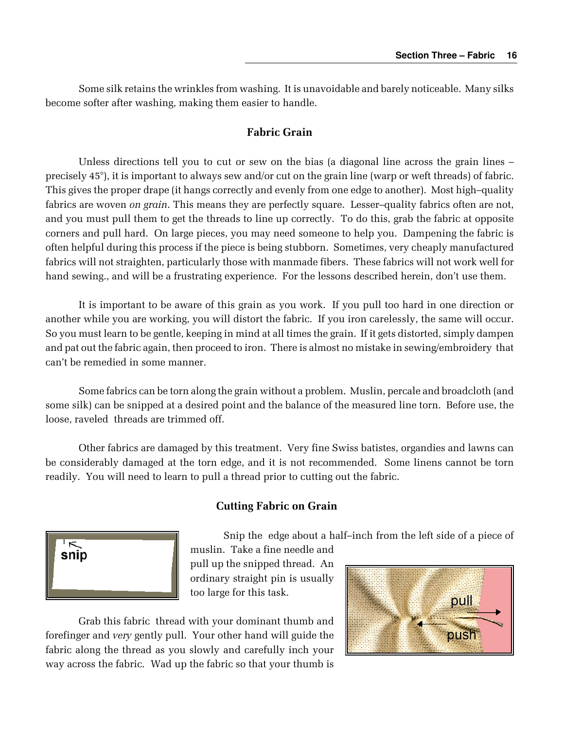Some silk retains the wrinkles from washing. It is unavoidable and barely noticeable. Many silks become softer after washing, making them easier to handle.

#### Fabric Grain

Unless directions tell you to cut or sew on the bias (a diagonal line across the grain lines – precisely 45°), it is important to always sew and/or cut on the grain line (warp or weft threads) of fabric. This gives the proper drape (it hangs correctly and evenly from one edge to another). Most high–quality fabrics are woven *on grain*. This means they are perfectly square. Lesser–quality fabrics often are not, and you must pull them to get the threads to line up correctly. To do this, grab the fabric at opposite corners and pull hard. On large pieces, you may need someone to help you. Dampening the fabric is often helpful during this process if the piece is being stubborn. Sometimes, very cheaply manufactured fabrics will not straighten, particularly those with manmade fibers. These fabrics will not work well for hand sewing., and will be a frustrating experience. For the lessons described herein, don't use them.

It is important to be aware of this grain as you work. If you pull too hard in one direction or another while you are working, you will distort the fabric. If you iron carelessly, the same will occur. So you must learn to be gentle, keeping in mind at all times the grain. If it gets distorted, simply dampen and pat out the fabric again, then proceed to iron. There is almost no mistake in sewing/embroidery that can't be remedied in some manner.

Some fabrics can be torn along the grain without a problem. Muslin, percale and broadcloth (and some silk) can be snipped at a desired point and the balance of the measured line torn. Before use, the loose, raveled threads are trimmed off.

Other fabrics are damaged by this treatment. Very fine Swiss batistes, organdies and lawns can be considerably damaged at the torn edge, and it is not recommended. Some linens cannot be torn readily. You will need to learn to pull a thread prior to cutting out the fabric.

### Cutting Fabric on Grain



Snip the edge about a half–inch from the left side of a piece of

muslin. Take a fine needle and pull up the snipped thread. An ordinary straight pin is usually too large for this task.

Grab this fabric thread with your dominant thumb and forefinger and very gently pull. Your other hand will guide the fabric along the thread as you slowly and carefully inch your way across the fabric. Wad up the fabric so that your thumb is

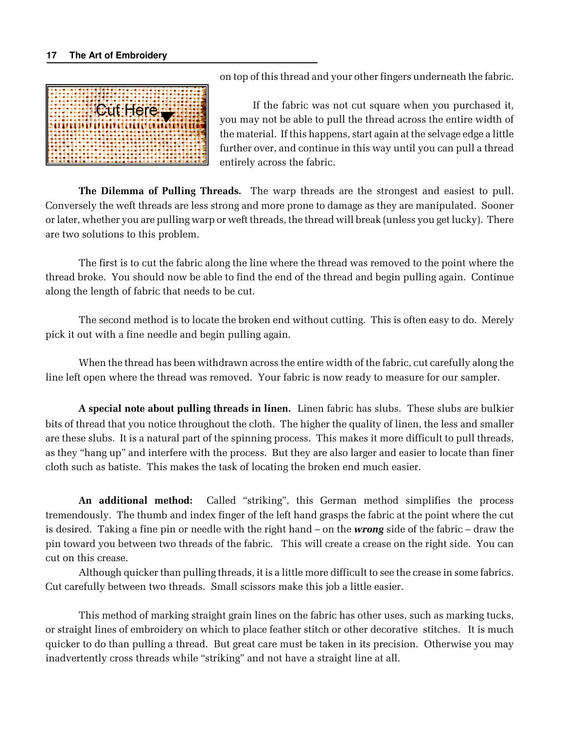#### **17 The Art of Embroidery**



on top of this thread and your other fingers underneath the fabric.

If the fabric was not cut square when you purchased it, you may not be able to pull the thread across the entire width of the material. If this happens, start again at the selvage edge a little further over, and continue in this way until you can pull a thread entirely across the fabric.

The Dilemma of Pulling Threads. The warp threads are the strongest and easiest to pull. Conversely the weft threads are less strong and more prone to damage as they are manipulated. Sooner or later, whether you are pulling warp or weft threads, the thread will break (unless you get lucky). There are two solutions to this problem.

The first is to cut the fabric along the line where the thread was removed to the point where the thread broke. You should now be able to find the end of the thread and begin pulling again. Continue along the length of fabric that needs to be cut.

The second method is to locate the broken end without cutting. This is often easy to do. Merely pick it out with a fine needle and begin pulling again.

When the thread has been withdrawn across the entire width of the fabric, cut carefully along the line left open where the thread was removed. Your fabric is now ready to measure for our sampler.

A special note about pulling threads in linen. Linen fabric has slubs. These slubs are bulkier bits of thread that you notice throughout the cloth. The higher the quality of linen, the less and smaller are these slubs. It is a natural part of the spinning process. This makes it more difficult to pull threads, as they "hang up" and interfere with the process. But they are also larger and easier to locate than finer cloth such as batiste. This makes the task of locating the broken end much easier.

An additional method: Called "striking", this German method simplifies the process tremendously. The thumb and index finger of the left hand grasps the fabric at the point where the cut is desired. Taking a fine pin or needle with the right hand  $-$  on the wrong side of the fabric  $-$  draw the pin toward you between two threads of the fabric. This will create a crease on the right side. You can cut on this crease.

Although quicker than pulling threads, it is a little more difficult to see the crease in some fabrics. Cut carefully between two threads. Small scissors make this job a little easier.

This method of marking straight grain lines on the fabric has other uses, such as marking tucks, or straight lines of embroidery on which to place feather stitch or other decorative stitches. It is much quicker to do than pulling a thread. But great care must be taken in its precision. Otherwise you may inadvertently cross threads while "striking" and not have a straight line at all.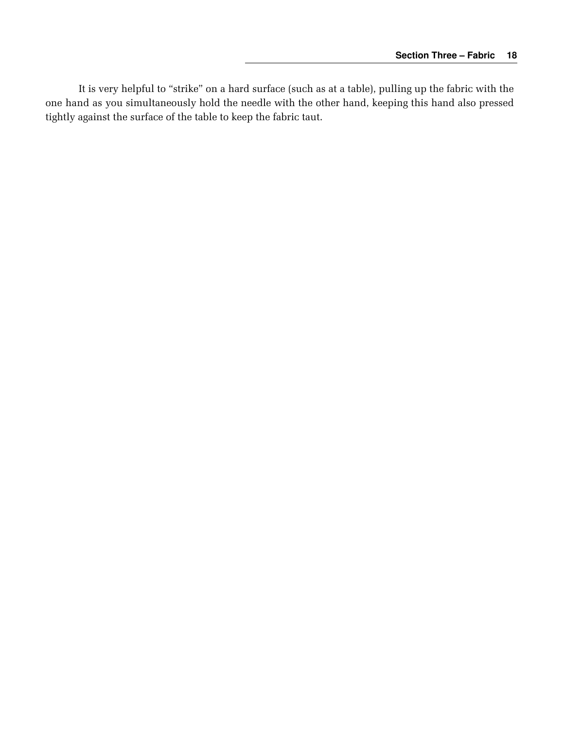It is very helpful to "strike" on a hard surface (such as at a table), pulling up the fabric with the one hand as you simultaneously hold the needle with the other hand, keeping this hand also pressed tightly against the surface of the table to keep the fabric taut.